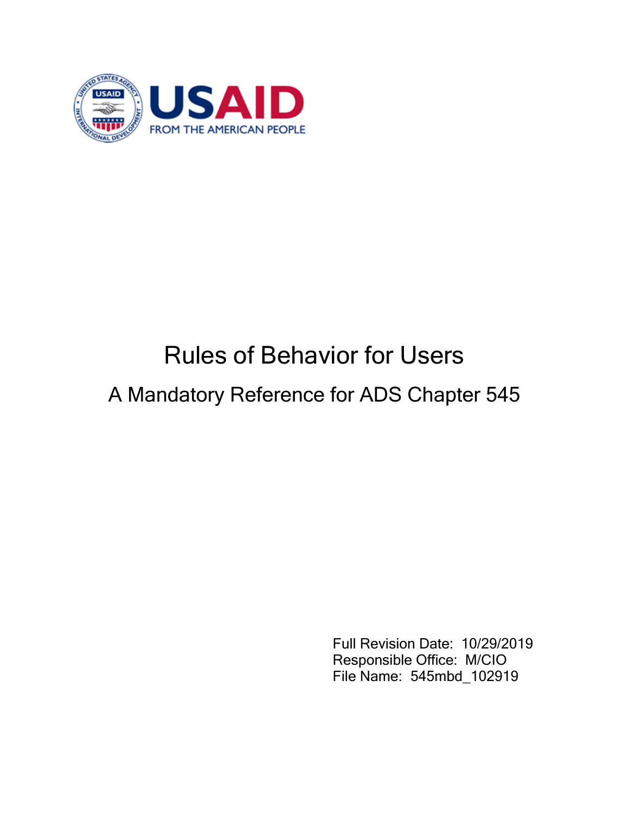

# Rules of Behavior for Users

## A Mandatory Reference for ADS Chapter 545

Full Revision Date: 10/29/2019 Responsible Office: M/CIO File Name: 545mbd\_102919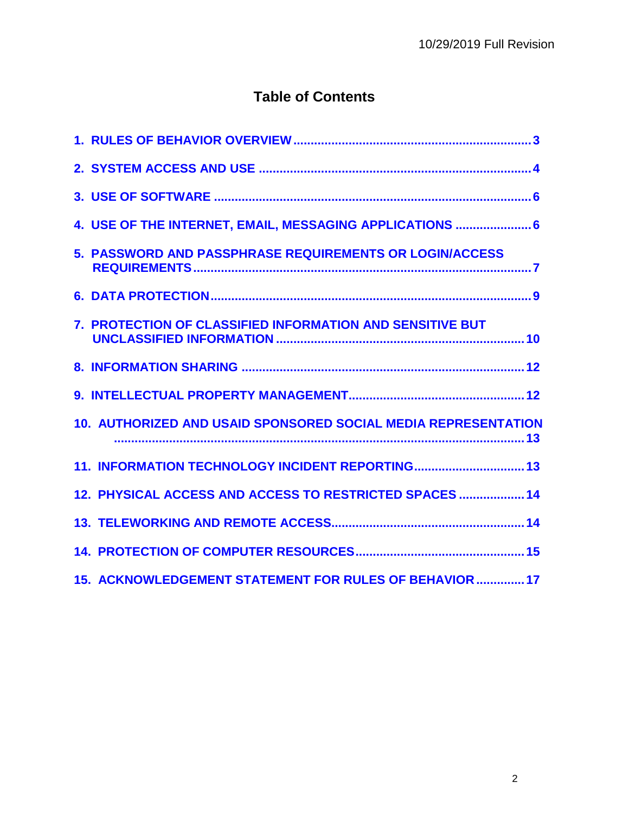### **Table of Contents**

| 4. USE OF THE INTERNET, EMAIL, MESSAGING APPLICATIONS  6       |
|----------------------------------------------------------------|
| <b>5. PASSWORD AND PASSPHRASE REQUIREMENTS OR LOGIN/ACCESS</b> |
|                                                                |
| 7. PROTECTION OF CLASSIFIED INFORMATION AND SENSITIVE BUT      |
|                                                                |
|                                                                |
| 10. AUTHORIZED AND USAID SPONSORED SOCIAL MEDIA REPRESENTATION |
| 11. INFORMATION TECHNOLOGY INCIDENT REPORTING 13               |
| 12. PHYSICAL ACCESS AND ACCESS TO RESTRICTED SPACES  14        |
|                                                                |
|                                                                |
| 15. ACKNOWLEDGEMENT STATEMENT FOR RULES OF BEHAVIOR  17        |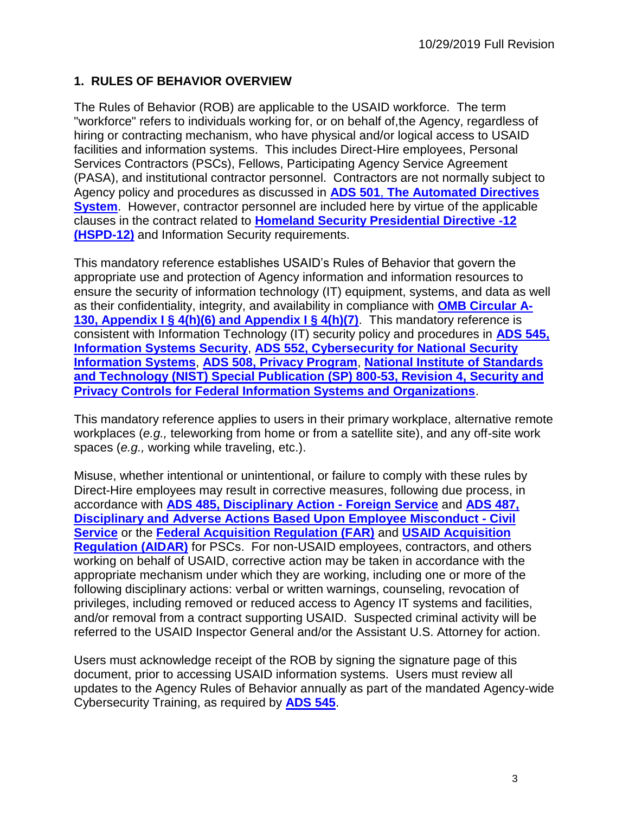#### <span id="page-2-0"></span>**1. RULES OF BEHAVIOR OVERVIEW**

The Rules of Behavior (ROB) are applicable to the USAID workforce. The term "workforce" refers to individuals working for, or on behalf of,the Agency, regardless of hiring or contracting mechanism, who have physical and/or logical access to USAID facilities and information systems. This includes Direct-Hire employees, Personal Services Contractors (PSCs), Fellows, Participating Agency Service Agreement (PASA), and institutional contractor personnel. Contractors are not normally subject to Agency policy and procedures as discussed in **[ADS 501](http://www.usaid.gov/ads/policy/500/501)**[,](http://www.usaid.gov/ads/policy/500/501) **[The Automated Directives](http://www.usaid.gov/ads/policy/500/501)  [System](http://www.usaid.gov/ads/policy/500/501)**. However, contractor personnel are included here by virtue of the applicable clauses in the contract related to **[Homeland Security Presidential Directive -12](https://www.dhs.gov/homeland-security-presidential-directive-12)  [\(HSPD-12\)](https://www.dhs.gov/homeland-security-presidential-directive-12)** and Information Security requirements.

This mandatory reference establishes USAID's Rules of Behavior that govern the appropriate use and protection of Agency information and information resources to ensure the security of information technology (IT) equipment, systems, and data as well as their confidentiality, integrity, and availability in compliance with **[OMB Circular A-](https://www.whitehouse.gov/sites/whitehouse.gov/files/omb/circulars/A130/a130revised.pdf)[130, Appendix I § 4\(h\)\(6\) and Appendix I § 4\(h\)\(7\)](https://www.whitehouse.gov/sites/whitehouse.gov/files/omb/circulars/A130/a130revised.pdf)**. This mandatory reference is consistent with Information Technology (IT) security policy and procedures in **[ADS 545,](http://www.usaid.gov/ads/policy/500/545)  [Information Systems Security](http://www.usaid.gov/ads/policy/500/545)**, **[ADS 552, Cybersecurity](https://www.usaid.gov/ads/policy/500/552) for National Security [Information Systems](https://www.usaid.gov/ads/policy/500/552)**, **[ADS 508, Privacy Program](http://inside.usaid.gov/ADS/500/508.pdf)**, **[National Institute of Standards](http://nvlpubs.nist.gov/nistpubs/SpecialPublications/NIST.SP.800-53r4.pdf)  [and Technology \(NIST\) Special Publication \(SP\) 800-53, Revision 4, Security and](http://nvlpubs.nist.gov/nistpubs/SpecialPublications/NIST.SP.800-53r4.pdf)  [Privacy Controls for Federal Information Systems and Organizations](http://nvlpubs.nist.gov/nistpubs/SpecialPublications/NIST.SP.800-53r4.pdf)**[.](http://csrc.nist.gov/publications/nistpubs/800-53-Rev3/sp800-53-rev3-final_updated-errata_05-01-2010.pdf)

This mandatory reference applies to users in their primary workplace, alternative remote workplaces (*e.g.,* teleworking from home or from a satellite site), and any off-site work spaces (*e.g.,* working while traveling, etc.).

Misuse, whether intentional or unintentional, or failure to comply with these rules by Direct-Hire employees may result in corrective measures, following due process, in accordance with **[ADS 485, Disciplinary Action -](http://www.usaid.gov/ads/policy/400/485) Foreign Service** and **[ADS 487,](http://www.usaid.gov/ads/policy/400/487)  [Disciplinary and Adverse Actions Based Upon Employee Misconduct -](http://www.usaid.gov/ads/policy/400/487) Civil [Service](http://www.usaid.gov/ads/policy/400/487)** or the **[Federal Acquisition Regulation \(FAR\)](https://www.acquisition.gov/browse/index/far)** and **[USAID Acquisition](http://www.usaid.gov/ads/policy/300/aidar)  [Regulation \(AIDAR\)](http://www.usaid.gov/ads/policy/300/aidar)** for PSCs. For non-USAID employees, contractors, and others working on behalf of USAID, corrective action may be taken in accordance with the appropriate mechanism under which they are working, including one or more of the following disciplinary actions: verbal or written warnings, counseling, revocation of privileges, including removed or reduced access to Agency IT systems and facilities, and/or removal from a contract supporting USAID. Suspected criminal activity will be referred to the USAID Inspector General and/or the Assistant U.S. Attorney for action.

Users must acknowledge receipt of the ROB by signing the signature page of this document, prior to accessing USAID information systems. Users must review all updates to the Agency Rules of Behavior annually as part of the mandated Agency-wide Cybersecurity Training, as required by **[ADS 545](http://www.usaid.gov/ads/policy/500/545)**.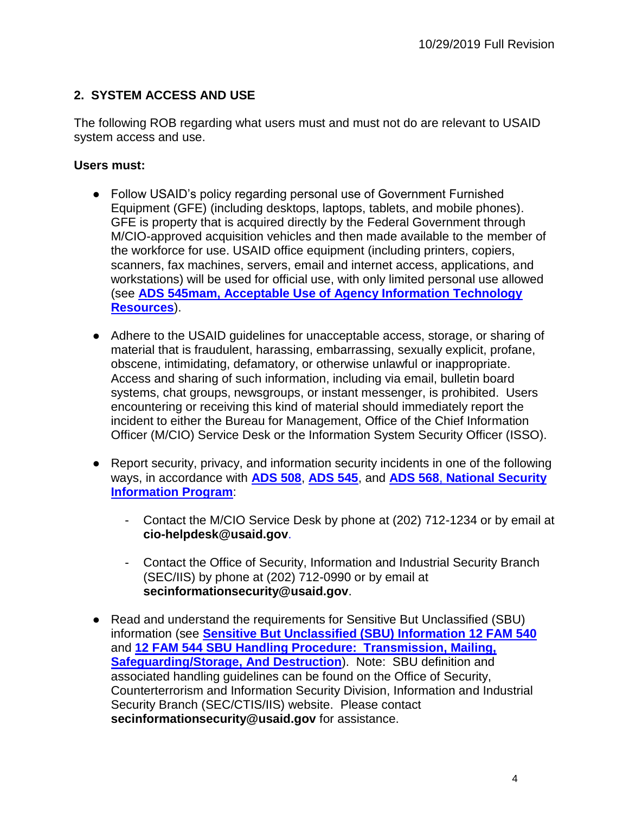#### <span id="page-3-0"></span>**2. SYSTEM ACCESS AND USE**

The following ROB regarding what users must and must not do are relevant to USAID system access and use.

- Follow USAID's policy regarding personal use of Government Furnished Equipment (GFE) (including desktops, laptops, tablets, and mobile phones). GFE is property that is acquired directly by the Federal Government through M/CIO-approved acquisition vehicles and then made available to the member of the workforce for use. USAID office equipment (including printers, copiers, scanners, fax machines, servers, email and internet access, applications, and workstations) will be used for official use, with only limited personal use allowed (see **[ADS 545mam, Acceptable Use of Agency Information Technology](http://www.usaid.gov/ads/policy/500/545mam)  [Resources](http://www.usaid.gov/ads/policy/500/545mam)**).
- Adhere to the USAID guidelines for unacceptable access, storage, or sharing of material that is fraudulent, harassing, embarrassing, sexually explicit, profane, obscene, intimidating, defamatory, or otherwise unlawful or inappropriate. Access and sharing of such information, including via email, bulletin board systems, chat groups, newsgroups, or instant messenger, is prohibited. Users encountering or receiving this kind of material should immediately report the incident to either the Bureau for Management, Office of the Chief Information Officer (M/CIO) Service Desk or the Information System Security Officer (ISSO).
- Report security, privacy, and information security incidents in one of the following ways, in accordance with **[ADS 508](http://www.usaid.gov/ads/policy/500/508)**, **[ADS 545](http://www.usaid.gov/ads/policy/500/545)**, and **[ADS 568](http://www.usaid.gov/ads/policy/500/568)**[,](http://www.usaid.gov/ads/policy/500/568) **[National Security](http://www.usaid.gov/ads/policy/500/568)  [Information Program](http://www.usaid.gov/ads/policy/500/568)**:
	- Contact the M/CIO Service Desk by phone at (202) 712-1234 or by email at **cio-helpdesk@usaid.gov**.
	- Contact the Office of Security, Information and Industrial Security Branch (SEC/IIS) by phone at (202) 712-0990 or by email at **secinformationsecurity@usaid.gov**.
- Read and understand the requirements for Sensitive But Unclassified (SBU) information (see **[Sensitive But Unclassified \(SBU\) Information 12 FAM 540](https://fam.state.gov/FAM/12FAM/12FAM0540.html)** and **[12 FAM 544 SBU Handling Procedure: Transmission, Mailing,](https://fam.state.gov/FAM/12FAM/12FAM0540.html)  [Safeguarding/Storage, And Destruction](https://fam.state.gov/FAM/12FAM/12FAM0540.html)**[\).](https://fam.state.gov/FAM/12FAM/12FAM0540.html) Note: SBU definition and associated handling guidelines can be found on the Office of Security, Counterterrorism and Information Security Division, Information and Industrial Security Branch (SEC/CTIS/IIS) website. Please contact **secinformationsecurity@usaid.gov** for assistance.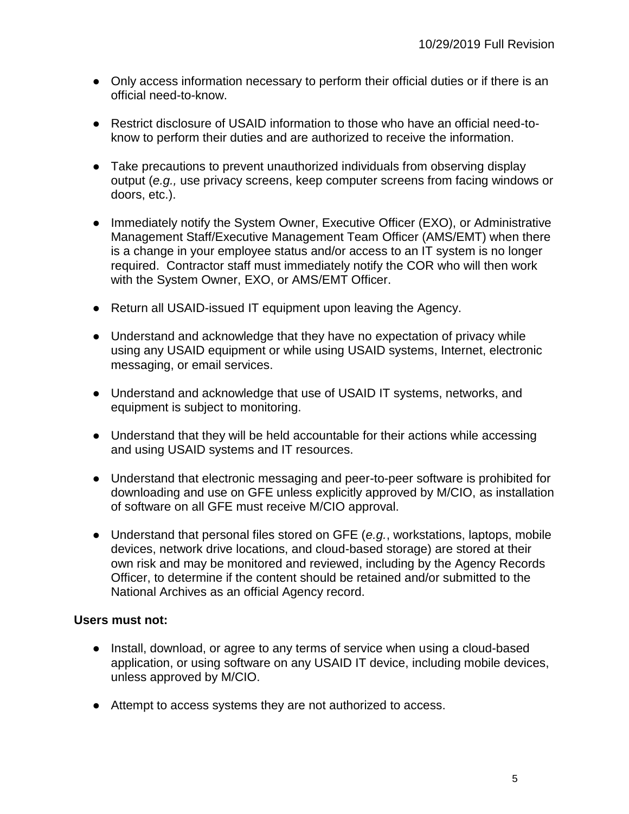- Only access information necessary to perform their official duties or if there is an official need-to-know.
- Restrict disclosure of USAID information to those who have an official need-toknow to perform their duties and are authorized to receive the information.
- Take precautions to prevent unauthorized individuals from observing display output (*e.g.,* use privacy screens, keep computer screens from facing windows or doors, etc.).
- Immediately notify the System Owner, Executive Officer (EXO), or Administrative Management Staff/Executive Management Team Officer (AMS/EMT) when there is a change in your employee status and/or access to an IT system is no longer required. Contractor staff must immediately notify the COR who will then work with the System Owner, EXO, or AMS/EMT Officer.
- Return all USAID-issued IT equipment upon leaving the Agency.
- Understand and acknowledge that they have no expectation of privacy while using any USAID equipment or while using USAID systems, Internet, electronic messaging, or email services.
- Understand and acknowledge that use of USAID IT systems, networks, and equipment is subject to monitoring.
- Understand that they will be held accountable for their actions while accessing and using USAID systems and IT resources.
- Understand that electronic messaging and peer-to-peer software is prohibited for downloading and use on GFE unless explicitly approved by M/CIO, as installation of software on all GFE must receive M/CIO approval.
- Understand that personal files stored on GFE (*e.g.*, workstations, laptops, mobile devices, network drive locations, and cloud-based storage) are stored at their own risk and may be monitored and reviewed, including by the Agency Records Officer, to determine if the content should be retained and/or submitted to the National Archives as an official Agency record.

- Install, download, or agree to any terms of service when using a cloud-based application, or using software on any USAID IT device, including mobile devices, unless approved by M/CIO.
- Attempt to access systems they are not authorized to access.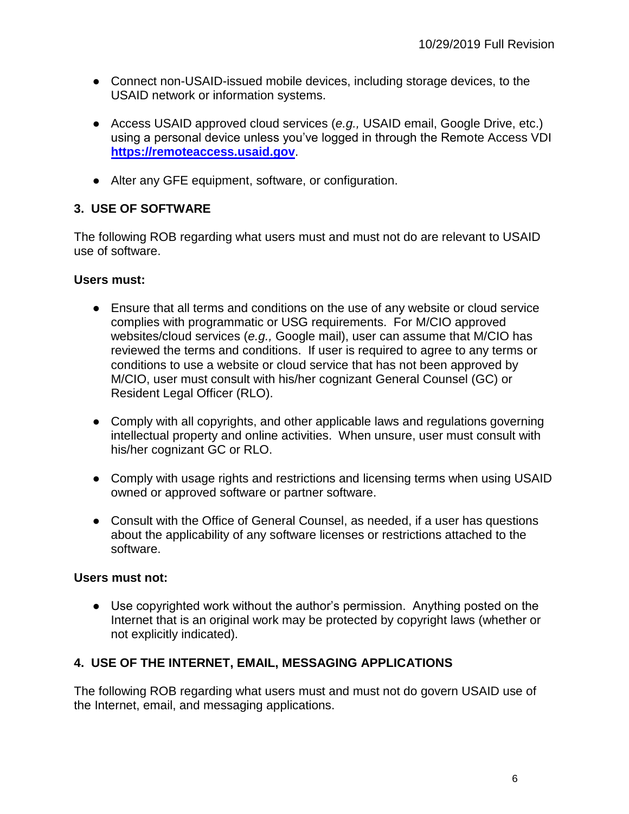- Connect non-USAID-issued mobile devices, including storage devices, to the USAID network or information systems.
- Access USAID approved cloud services (*e.g.,* USAID email, Google Drive, etc.) using a personal device unless you've logged in through the Remote Access VDI **[https://remoteaccess.usaid.gov](https://remoteaccess.usaid.gov/)**.
- Alter any GFE equipment, software, or configuration.

#### <span id="page-5-0"></span>**3. USE OF SOFTWARE**

The following ROB regarding what users must and must not do are relevant to USAID use of software.

#### **Users must:**

- Ensure that all terms and conditions on the use of any website or cloud service complies with programmatic or USG requirements. For M/CIO approved websites/cloud services (*e.g.,* Google mail), user can assume that M/CIO has reviewed the terms and conditions. If user is required to agree to any terms or conditions to use a website or cloud service that has not been approved by M/CIO, user must consult with his/her cognizant General Counsel (GC) or Resident Legal Officer (RLO).
- Comply with all copyrights, and other applicable laws and regulations governing intellectual property and online activities. When unsure, user must consult with his/her cognizant GC or RLO.
- Comply with usage rights and restrictions and licensing terms when using USAID owned or approved software or partner software.
- Consult with the Office of General Counsel, as needed, if a user has questions about the applicability of any software licenses or restrictions attached to the software.

#### **Users must not:**

● Use copyrighted work without the author's permission. Anything posted on the Internet that is an original work may be protected by copyright laws (whether or not explicitly indicated).

#### <span id="page-5-1"></span>**4. USE OF THE INTERNET, EMAIL, MESSAGING APPLICATIONS**

The following ROB regarding what users must and must not do govern USAID use of the Internet, email, and messaging applications.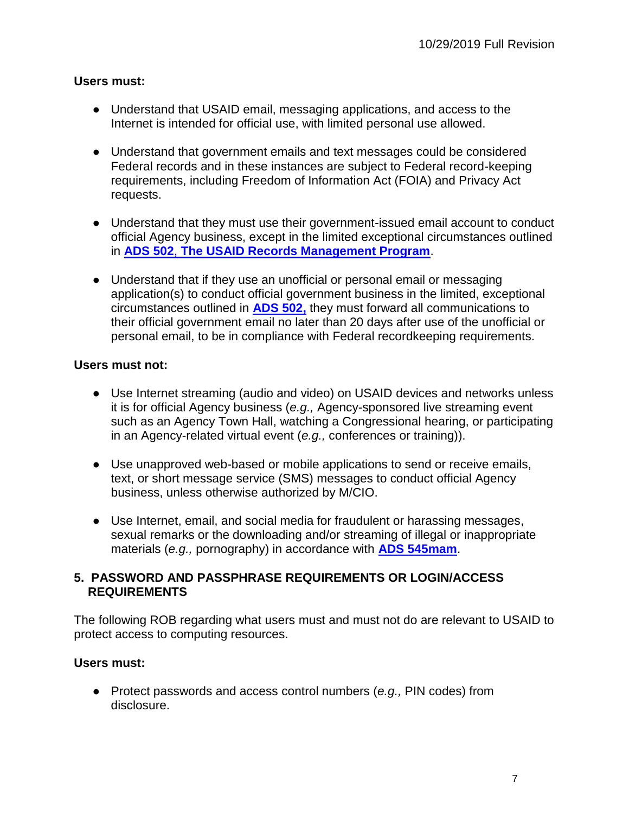#### **Users must:**

- Understand that USAID email, messaging applications, and access to the Internet is intended for official use, with limited personal use allowed.
- Understand that government emails and text messages could be considered Federal records and in these instances are subject to Federal record-keeping requirements, including Freedom of Information Act (FOIA) and Privacy Act requests.
- Understand that they must use their government-issued email account to conduct official Agency business, except in the limited exceptional circumstances outlined in **[ADS 502](http://www.usaid.gov/ads/policy/500/502)**[,](http://www.usaid.gov/ads/policy/500/502) **[The USAID Records Management Program](http://www.usaid.gov/ads/policy/500/502)**[.](http://www.usaid.gov/ads/policy/500/502)
- Understand that if they use an unofficial or personal email or messaging application(s) to conduct official government business in the limited, exceptional circumstances outlined in **[ADS 502,](http://www.usaid.gov/ads/policy/500/502)** they must forward all communications to their official government email no later than 20 days after use of the unofficial or personal email, to be in compliance with Federal recordkeeping requirements.

#### **Users must not:**

- Use Internet streaming (audio and video) on USAID devices and networks unless it is for official Agency business (*e.g.,* Agency-sponsored live streaming event such as an Agency Town Hall, watching a Congressional hearing, or participating in an Agency-related virtual event (*e.g.,* conferences or training)).
- Use unapproved web-based or mobile applications to send or receive emails, text, or short message service (SMS) messages to conduct official Agency business, unless otherwise authorized by M/CIO.
- Use Internet, email, and social media for fraudulent or harassing messages, sexual remarks or the downloading and/or streaming of illegal or inappropriate materials (*e.g.,* pornography) in accordance with **[ADS 545mam](http://www.usaid.gov/ads/policy/500/545mam)**.

#### <span id="page-6-0"></span>**5. PASSWORD AND PASSPHRASE REQUIREMENTS OR LOGIN/ACCESS REQUIREMENTS**

The following ROB regarding what users must and must not do are relevant to USAID to protect access to computing resources.

#### **Users must:**

● Protect passwords and access control numbers (*e.g.,* PIN codes) from disclosure.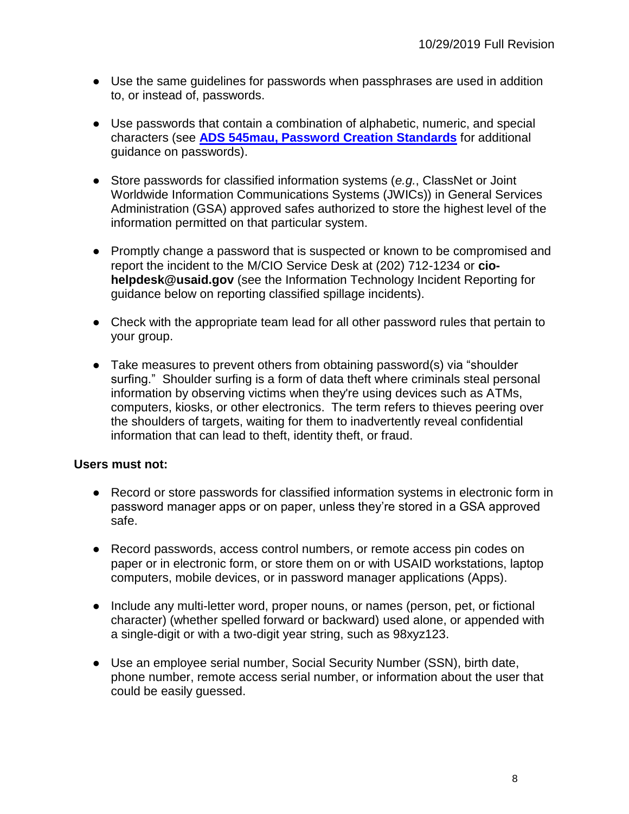- Use the same guidelines for passwords when passphrases are used in addition to, or instead of, passwords.
- Use passwords that contain a combination of alphabetic, numeric, and special characters (see **[ADS 545mau, Password Creation Standards](https://www.usaid.gov/ads/policy/500/545mau)** for additional guidance on passwords).
- Store passwords for classified information systems (*e.g.*, ClassNet or Joint Worldwide Information Communications Systems (JWICs)) in General Services Administration (GSA) approved safes authorized to store the highest level of the information permitted on that particular system.
- Promptly change a password that is suspected or known to be compromised and report the incident to the M/CIO Service Desk at (202) 712-1234 or **ciohelpdesk@usaid.gov** (see the Information Technology Incident Reporting for guidance below on reporting classified spillage incidents).
- Check with the appropriate team lead for all other password rules that pertain to your group.
- Take measures to prevent others from obtaining password(s) via "shoulder surfing." Shoulder surfing is a form of data theft where criminals steal personal information by observing victims when they're using devices such as ATMs, computers, kiosks, or other electronics. The term refers to thieves peering over the shoulders of targets, waiting for them to inadvertently reveal confidential information that can lead to theft, identity theft, or fraud.

- Record or store passwords for classified information systems in electronic form in password manager apps or on paper, unless they're stored in a GSA approved safe.
- Record passwords, access control numbers, or remote access pin codes on paper or in electronic form, or store them on or with USAID workstations, laptop computers, mobile devices, or in password manager applications (Apps).
- Include any multi-letter word, proper nouns, or names (person, pet, or fictional character) (whether spelled forward or backward) used alone, or appended with a single-digit or with a two-digit year string, such as 98xyz123.
- Use an employee serial number, Social Security Number (SSN), birth date, phone number, remote access serial number, or information about the user that could be easily guessed.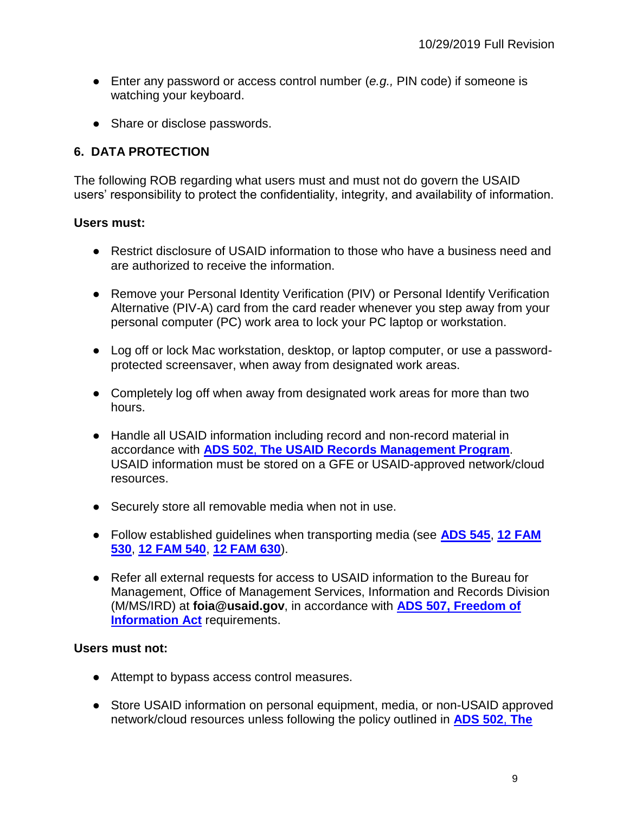- Enter any password or access control number (*e.g.*, PIN code) if someone is watching your keyboard.
- Share or disclose passwords.

#### <span id="page-8-0"></span>**6. DATA PROTECTION**

The following ROB regarding what users must and must not do govern the USAID users' responsibility to protect the confidentiality, integrity, and availability of information.

#### **Users must:**

- Restrict disclosure of USAID information to those who have a business need and are authorized to receive the information.
- Remove your Personal Identity Verification (PIV) or Personal Identify Verification Alternative (PIV-A) card from the card reader whenever you step away from your personal computer (PC) work area to lock your PC laptop or workstation.
- Log off or lock Mac workstation, desktop, or laptop computer, or use a passwordprotected screensaver, when away from designated work areas.
- Completely log off when away from designated work areas for more than two hours.
- Handle all USAID information including record and non-record material in accordance with **[ADS 502](http://www.usaid.gov/ads/policy/500/502)**[,](http://www.usaid.gov/ads/policy/500/502) **[The USAID Records Management Program](http://www.usaid.gov/ads/policy/500/502)**. USAID information must be stored on a GFE or USAID-approved network/cloud resources.
- Securely store all removable media when not in use.
- Follow established guidelines when transporting media (see **[ADS 545](https://www.usaid.gov/ads/policy/500/545)**, **[12 FAM](https://fam.state.gov/FAM/12FAM/12FAM0530.html)  [530](https://fam.state.gov/FAM/12FAM/12FAM0530.html)**, **[12 FAM 540](https://fam.state.gov/searchapps/viewer?format=html&query=12%20FAM%20540&links=12,FAM,540&url=/FAM/12FAM/12FAM0540.html)**, **[12 FAM 630](https://fam.state.gov/FAM/12FAM/12FAM0630.html)**).
- Refer all external requests for access to USAID information to the Bureau for Management, Office of Management Services, Information and Records Division (M/MS/IRD) at **foia@usaid.gov**, in accordance with **[ADS 507, Freedom of](http://www.usaid.gov/ads/policy/500/507)  [Information Act](http://www.usaid.gov/ads/policy/500/507)** requirements.

- Attempt to bypass access control measures.
- Store USAID information on personal equipment, media, or non-USAID approved network/cloud resources unless following the policy outlined in **[ADS 502](http://www.usaid.gov/ads/policy/500/502)**[,](http://www.usaid.gov/ads/policy/500/502) **[The](http://www.usaid.gov/ads/policy/500/502)**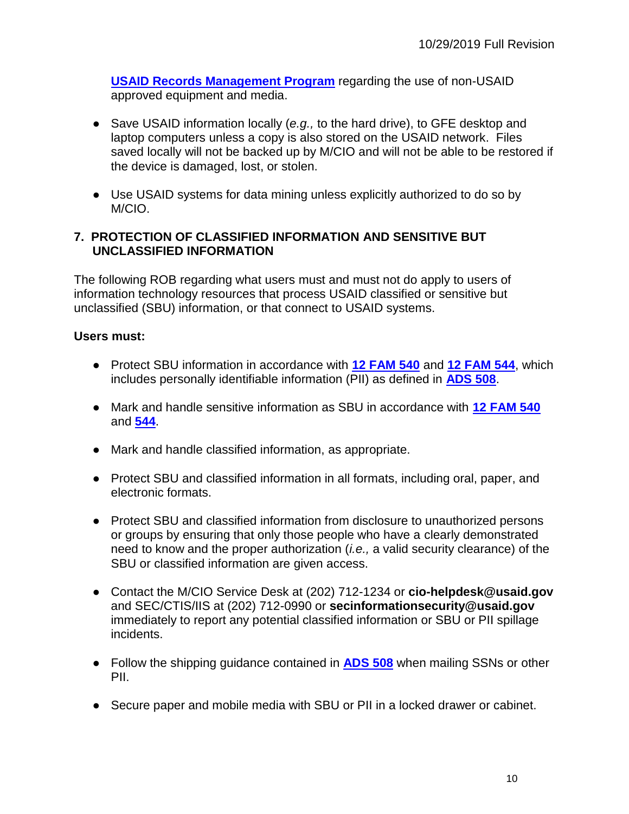**[USAID Records Management Program](http://www.usaid.gov/ads/policy/500/502)** regarding the use of non-USAID approved equipment and media.

- Save USAID information locally (*e.g.*, to the hard drive), to GFE desktop and laptop computers unless a copy is also stored on the USAID network. Files saved locally will not be backed up by M/CIO and will not be able to be restored if the device is damaged, lost, or stolen.
- Use USAID systems for data mining unless explicitly authorized to do so by M/CIO.

#### <span id="page-9-0"></span>**7. PROTECTION OF CLASSIFIED INFORMATION AND SENSITIVE BUT UNCLASSIFIED INFORMATION**

The following ROB regarding what users must and must not do apply to users of information technology resources that process USAID classified or sensitive but unclassified (SBU) information, or that connect to USAID systems.

- Protect SBU information in accordance with **[12 FAM 540](https://fam.state.gov/FAM/12FAM/12FAM0540.html)** [and](https://fam.state.gov/FAM/12FAM/12FAM0540.html) **[12 FAM 544](https://fam.state.gov/FAM/12FAM/12FAM0540.html)**, which includes personally identifiable information (PII) as defined in **[ADS 508](https://www.usaid.gov/ads/policy/500/508)**.
- Mark and handle sensitive information as SBU in accordance with **[12 FAM 540](https://fam.state.gov/FAM/12FAM/12FAM0540.html)**  [and](https://fam.state.gov/FAM/12FAM/12FAM0540.html) **[544](https://fam.state.gov/FAM/12FAM/12FAM0540.html)**.
- Mark and handle classified information, as appropriate.
- Protect SBU and classified information in all formats, including oral, paper, and electronic formats.
- Protect SBU and classified information from disclosure to unauthorized persons or groups by ensuring that only those people who have a clearly demonstrated need to know and the proper authorization (*i.e.,* a valid security clearance) of the SBU or classified information are given access.
- Contact the M/CIO Service Desk at (202) 712-1234 or **cio-helpdesk@usaid.gov** and SEC/CTIS/IIS at (202) 712-0990 or **secinformationsecurity@usaid.gov** immediately to report any potential classified information or SBU or PII spillage incidents.
- Follow the shipping guidance contained in **[ADS 508](https://www.usaid.gov/ads/policy/500/508)** when mailing SSNs or other PII.
- Secure paper and mobile media with SBU or PII in a locked drawer or cabinet.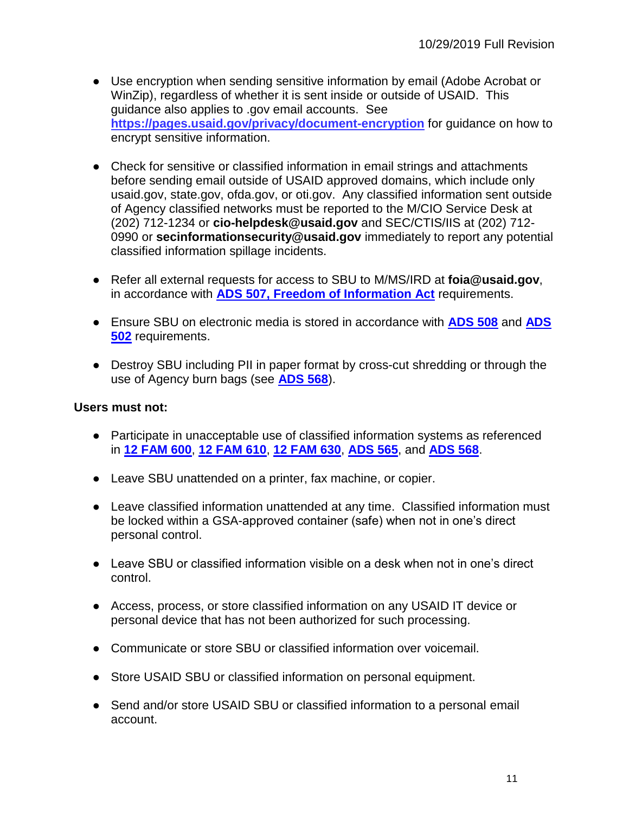- Use encryption when sending sensitive information by email (Adobe Acrobat or WinZip), regardless of whether it is sent inside or outside of USAID. This guidance also applies to .gov email accounts. See **<https://pages.usaid.gov/privacy/document-encryption>** for guidance on how to encrypt sensitive information.
- Check for sensitive or classified information in email strings and attachments before sending email outside of USAID approved domains, which include only usaid.gov, state.gov, ofda.gov, or oti.gov. Any classified information sent outside of Agency classified networks must be reported to the M/CIO Service Desk at (202) 712-1234 or **cio-helpdesk@usaid.gov** and SEC/CTIS/IIS at (202) 712- 0990 or **secinformationsecurity@usaid.gov** immediately to report any potential classified information spillage incidents.
- Refer all external requests for access to SBU to M/MS/IRD at **foia@usaid.gov**, in accordance with **[ADS 507, Freedom of Information Act](http://www.usaid.gov/ads/policy/500/507)** requirements.
- Ensure SBU on electronic media is stored in accordance with **[ADS 508](http://www.usaid.gov/ads/policy/500/508)** and **[ADS](https://www.usaid.gov/ads/policy/500/502)  [502](https://www.usaid.gov/ads/policy/500/502)** requirements.
- Destroy SBU including PII in paper format by cross-cut shredding or through the use of Agency burn bags (see **[ADS 568](https://www.usaid.gov/ads/policy/500/568)**).

- Participate in unacceptable use of classified information systems as referenced in **[12 FAM 600](https://fam.state.gov/FAM/12FAM/12FAM0610.html)**, **[12 FAM 610](https://fam.state.gov/FAM/12FAM/12FAM0610.html)**, **[12 FAM 630](https://fam.state.gov/FAM/12FAM/12FAM0630.html)**, **[ADS 565](https://www.usaid.gov/ads/policy/500/565)**, and **[ADS 568](https://www.usaid.gov/ads/policy/500/568)**.
- Leave SBU unattended on a printer, fax machine, or copier.
- Leave classified information unattended at any time. Classified information must be locked within a GSA-approved container (safe) when not in one's direct personal control.
- Leave SBU or classified information visible on a desk when not in one's direct control.
- Access, process, or store classified information on any USAID IT device or personal device that has not been authorized for such processing.
- Communicate or store SBU or classified information over voicemail.
- Store USAID SBU or classified information on personal equipment.
- Send and/or store USAID SBU or classified information to a personal email account.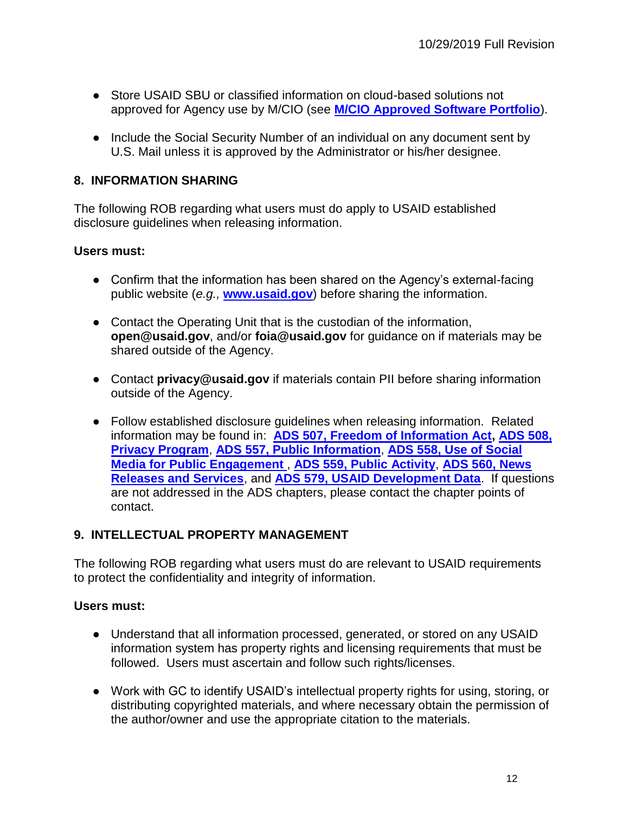- Store USAID SBU or classified information on cloud-based solutions not approved for Agency use by M/CIO (see **[M/CIO Approved Software Portfolio](https://usaiditsm.service-now.com/sphome?id=shr_list)**).
- Include the Social Security Number of an individual on any document sent by U.S. Mail unless it is approved by the Administrator or his/her designee.

#### <span id="page-11-0"></span>**8. INFORMATION SHARING**

The following ROB regarding what users must do apply to USAID established disclosure guidelines when releasing information.

#### **Users must:**

- Confirm that the information has been shared on the Agency's external-facing public website (*e.g.,* **[www.usaid.gov](http://www.usaid.gov/)**) before sharing the information.
- Contact the Operating Unit that is the custodian of the information, **open@usaid.gov**, and/or **foia@usaid.gov** for guidance on if materials may be shared outside of the Agency.
- Contact **privacy@usaid.gov** if materials contain PII before sharing information outside of the Agency.
- Follow established disclosure guidelines when releasing information. Related information may be found in: **[ADS 507, Freedom of Information Act,](http://www.usaid.gov/ads/policy/500/507) [ADS 508,](http://www.usaid.gov/ads/policy/500/508)  [Privacy Program](http://www.usaid.gov/ads/policy/500/508)**, **[ADS 557, Public Information](http://www.usaid.gov/ads/policy/500/557)**, **[ADS 558, Use of Social](http://www.usaid.gov/ads/policy/500/558)  Media for [Public Engagement](http://www.usaid.gov/ads/policy/500/558)** , **[ADS 559, Public Activity](http://www.usaid.gov/ads/policy/500/559)**, **[ADS 560, News](http://www.usaid.gov/ads/policy/500/560)  [Releases and Services](http://www.usaid.gov/ads/policy/500/560)**[,](http://inside.usaid.gov/ADS/500/560.pdf) [and](http://inside.usaid.gov/ADS/500/560.pdf) **[ADS 579, USAID Development Data](https://www.usaid.gov/ads/policy/500/579)**. If questions are not addressed in the ADS chapters, please contact the chapter points of contact.

#### <span id="page-11-1"></span>**9. INTELLECTUAL PROPERTY MANAGEMENT**

The following ROB regarding what users must do are relevant to USAID requirements to protect the confidentiality and integrity of information.

- Understand that all information processed, generated, or stored on any USAID information system has property rights and licensing requirements that must be followed. Users must ascertain and follow such rights/licenses.
- Work with GC to identify USAID's intellectual property rights for using, storing, or distributing copyrighted materials, and where necessary obtain the permission of the author/owner and use the appropriate citation to the materials.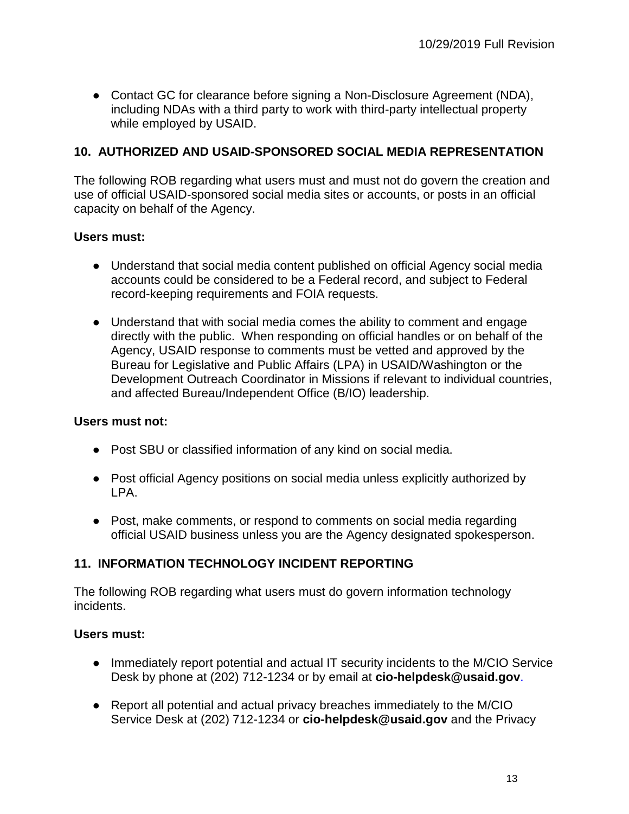● Contact GC for clearance before signing a Non-Disclosure Agreement (NDA), including NDAs with a third party to work with third-party intellectual property while employed by USAID.

#### <span id="page-12-0"></span>**10. AUTHORIZED AND USAID-SPONSORED SOCIAL MEDIA REPRESENTATION**

The following ROB regarding what users must and must not do govern the creation and use of official USAID-sponsored social media sites or accounts, or posts in an official capacity on behalf of the Agency.

#### **Users must:**

- Understand that social media content published on official Agency social media accounts could be considered to be a Federal record, and subject to Federal record-keeping requirements and FOIA requests.
- Understand that with social media comes the ability to comment and engage directly with the public. When responding on official handles or on behalf of the Agency, USAID response to comments must be vetted and approved by the Bureau for Legislative and Public Affairs (LPA) in USAID/Washington or the Development Outreach Coordinator in Missions if relevant to individual countries, and affected Bureau/Independent Office (B/IO) leadership.

#### **Users must not:**

- Post SBU or classified information of any kind on social media.
- Post official Agency positions on social media unless explicitly authorized by LPA.
- Post, make comments, or respond to comments on social media regarding official USAID business unless you are the Agency designated spokesperson.

#### <span id="page-12-1"></span>**11. INFORMATION TECHNOLOGY INCIDENT REPORTING**

The following ROB regarding what users must do govern information technology incidents.

- Immediately report potential and actual IT security incidents to the M/CIO Service Desk by phone at (202) 712-1234 or by email at **cio-helpdesk@usaid.gov**.
- Report all potential and actual privacy breaches immediately to the M/CIO Service Desk at (202) 712-1234 or **cio-helpdesk@usaid.gov** and the Privacy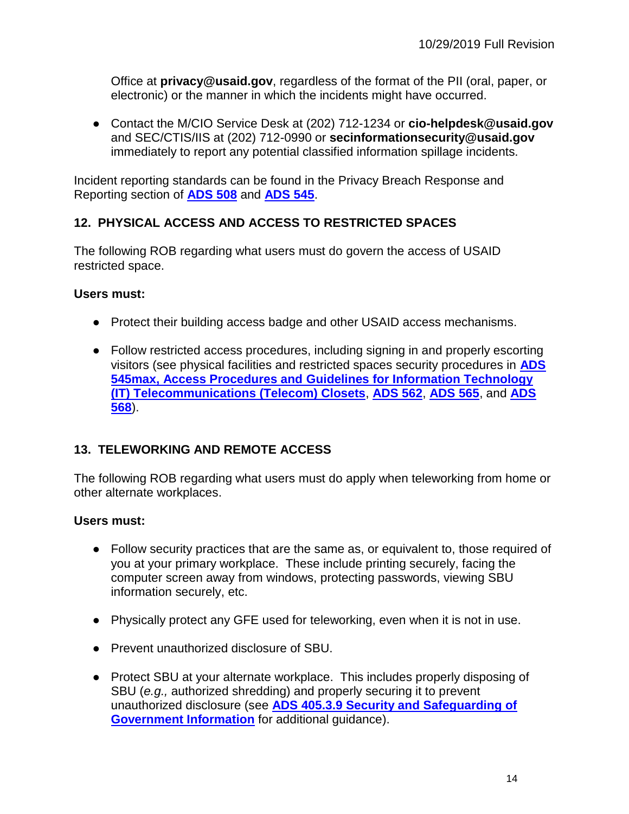Office at **privacy@usaid.gov**, regardless of the format of the PII (oral, paper, or electronic) or the manner in which the incidents might have occurred.

● Contact the M/CIO Service Desk at (202) 712-1234 or **cio-helpdesk@usaid.gov** and SEC/CTIS/IIS at (202) 712-0990 or **secinformationsecurity@usaid.gov** immediately to report any potential classified information spillage incidents.

Incident reporting standards can be found in the Privacy Breach Response and Reporting section of **[ADS 508](http://www.usaid.gov/ads/policy/500/508)** and **[ADS 545](https://www.usaid.gov/ads/policy/500/545)**.

#### <span id="page-13-0"></span>**12. PHYSICAL ACCESS AND ACCESS TO RESTRICTED SPACES**

The following ROB regarding what users must do govern the access of USAID restricted space.

#### **Users must:**

- Protect their building access badge and other USAID access mechanisms.
- Follow restricted access procedures, including signing in and properly escorting visitors (see physical facilities and restricted spaces security procedures in **[ADS](http://www.usaid.gov/ads/policy/500/545max)  [545max, Access Procedures and Guidelines](http://www.usaid.gov/ads/policy/500/545max) [for Information Technology](http://www.usaid.gov/ads/policy/500/545max)  [\(IT\) Telecommunications \(Telecom\) Closets](http://www.usaid.gov/ads/policy/500/545max)**, **[ADS 562](https://www.usaid.gov/ads/policy/500/562)**, **[ADS 565](https://www.usaid.gov/ads/policy/500/565)**, and **[ADS](https://www.usaid.gov/ads/policy/500/568)  [568](https://www.usaid.gov/ads/policy/500/568)**).

#### <span id="page-13-1"></span>**13. TELEWORKING AND REMOTE ACCESS**

The following ROB regarding what users must do apply when teleworking from home or other alternate workplaces.

- Follow security practices that are the same as, or equivalent to, those required of you at your primary workplace. These include printing securely, facing the computer screen away from windows, protecting passwords, viewing SBU information securely, etc.
- Physically protect any GFE used for teleworking, even when it is not in use.
- Prevent unauthorized disclosure of SBU.
- Protect SBU at your alternate workplace. This includes properly disposing of SBU (*e.g.,* authorized shredding) and properly securing it to prevent unauthorized disclosure (see **[ADS 405.3.9 Security and Safeguarding of](https://www.usaid.gov/ads/policy/400/405)  [Government Information](https://www.usaid.gov/ads/policy/400/405)** for additional guidance).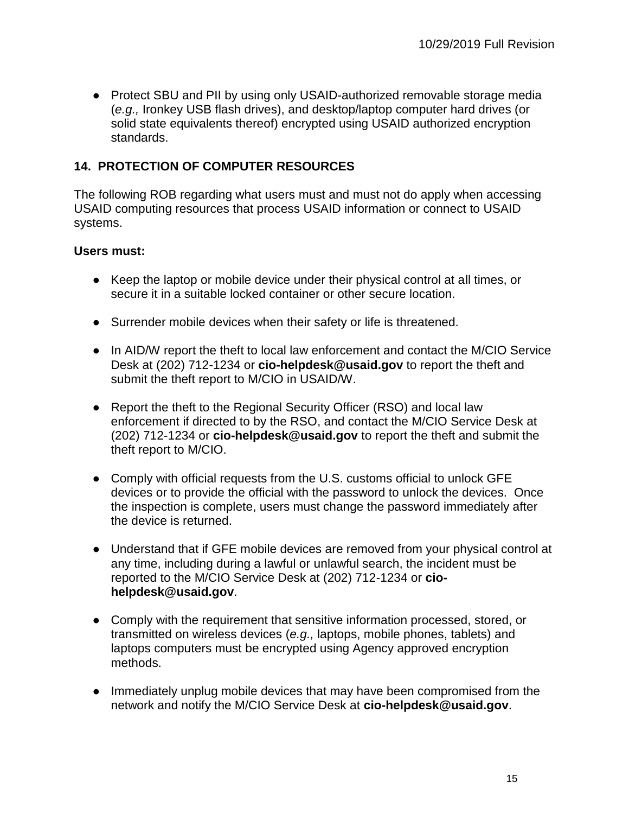• Protect SBU and PII by using only USAID-authorized removable storage media (*e.g.,* Ironkey USB flash drives), and desktop/laptop computer hard drives (or solid state equivalents thereof) encrypted using USAID authorized encryption standards.

#### <span id="page-14-0"></span>**14. PROTECTION OF COMPUTER RESOURCES**

The following ROB regarding what users must and must not do apply when accessing USAID computing resources that process USAID information or connect to USAID systems.

- Keep the laptop or mobile device under their physical control at all times, or secure it in a suitable locked container or other secure location.
- Surrender mobile devices when their safety or life is threatened.
- In AID/W report the theft to local law enforcement and contact the M/CIO Service Desk at (202) 712-1234 or **cio-helpdesk@usaid.gov** to report the theft and submit the theft report to M/CIO in USAID/W.
- Report the theft to the Regional Security Officer (RSO) and local law enforcement if directed to by the RSO, and contact the M/CIO Service Desk at (202) 712-1234 or **cio-helpdesk@usaid.gov** to report the theft and submit the theft report to M/CIO.
- Comply with official requests from the U.S. customs official to unlock GFE devices or to provide the official with the password to unlock the devices. Once the inspection is complete, users must change the password immediately after the device is returned.
- Understand that if GFE mobile devices are removed from your physical control at any time, including during a lawful or unlawful search, the incident must be reported to the M/CIO Service Desk at (202) 712-1234 or **ciohelpdesk@usaid.gov**.
- Comply with the requirement that sensitive information processed, stored, or transmitted on wireless devices (*e.g.,* laptops, mobile phones, tablets) and laptops computers must be encrypted using Agency approved encryption methods.
- Immediately unplug mobile devices that may have been compromised from the network and notify the M/CIO Service Desk at **cio-helpdesk@usaid.gov**.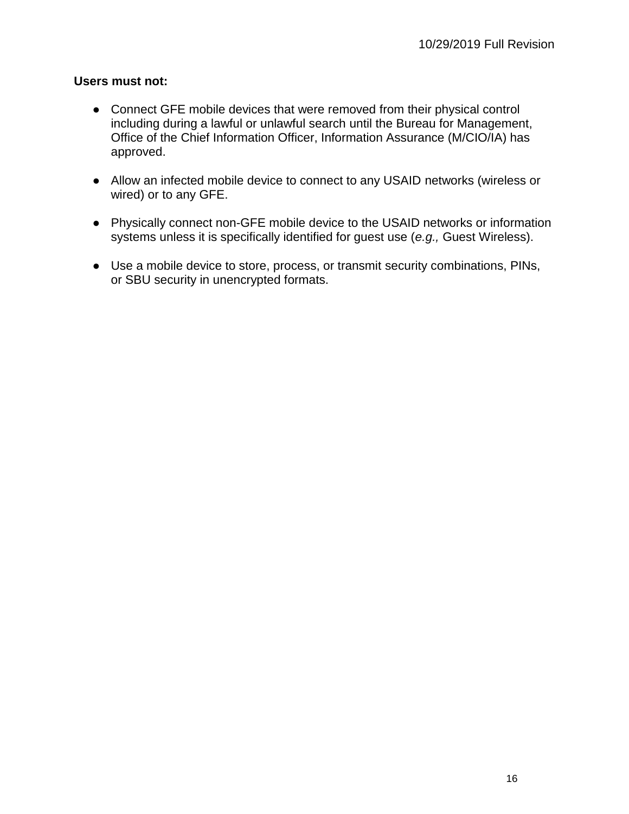- Connect GFE mobile devices that were removed from their physical control including during a lawful or unlawful search until the Bureau for Management, Office of the Chief Information Officer, Information Assurance (M/CIO/IA) has approved.
- Allow an infected mobile device to connect to any USAID networks (wireless or wired) or to any GFE.
- Physically connect non-GFE mobile device to the USAID networks or information systems unless it is specifically identified for guest use (*e.g.,* Guest Wireless).
- Use a mobile device to store, process, or transmit security combinations, PINs, or SBU security in unencrypted formats.